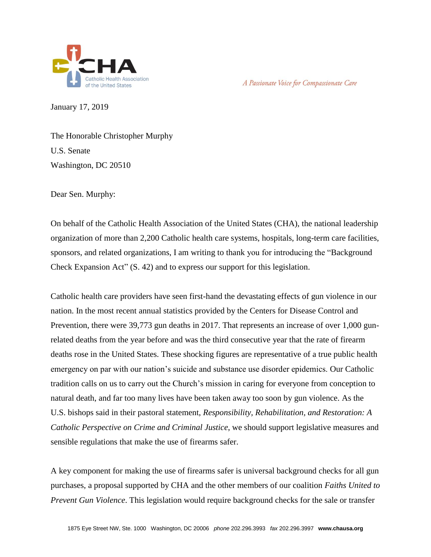

A Passionate Voice for Compassionate Care

January 17, 2019

The Honorable Christopher Murphy U.S. Senate Washington, DC 20510

Dear Sen. Murphy:

On behalf of the Catholic Health Association of the United States (CHA), the national leadership organization of more than 2,200 Catholic health care systems, hospitals, long-term care facilities, sponsors, and related organizations, I am writing to thank you for introducing the "Background Check Expansion Act" (S. 42) and to express our support for this legislation.

Catholic health care providers have seen first-hand the devastating effects of gun violence in our nation. In the most recent annual statistics provided by the Centers for Disease Control and Prevention, there were 39,773 gun deaths in 2017. That represents an increase of over 1,000 gunrelated deaths from the year before and was the third consecutive year that the rate of firearm deaths rose in the United States. These shocking figures are representative of a true public health emergency on par with our nation's suicide and substance use disorder epidemics. Our Catholic tradition calls on us to carry out the Church's mission in caring for everyone from conception to natural death, and far too many lives have been taken away too soon by gun violence. As the U.S. bishops said in their pastoral statement, *Responsibility, Rehabilitation, and Restoration: A Catholic Perspective on Crime and Criminal Justice*, we should support legislative measures and sensible regulations that make the use of firearms safer.

A key component for making the use of firearms safer is universal background checks for all gun purchases, a proposal supported by CHA and the other members of our coalition *Faiths United to Prevent Gun Violence*. This legislation would require background checks for the sale or transfer